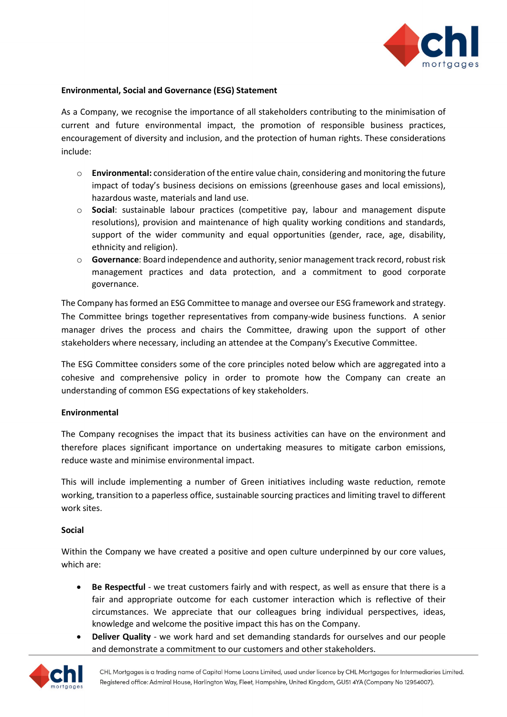

## **Environmental, Social and Governance (ESG) Statement**

As a Company, we recognise the importance of all stakeholders contributing to the minimisation of current and future environmental impact, the promotion of responsible business practices, encouragement of diversity and inclusion, and the protection of human rights. These considerations include:

- o **Environmental:** consideration of the entire value chain, considering and monitoring the future impact of today's business decisions on emissions (greenhouse gases and local emissions), hazardous waste, materials and land use.
- o **Social**: sustainable labour practices (competitive pay, labour and management dispute resolutions), provision and maintenance of high quality working conditions and standards, support of the wider community and equal opportunities (gender, race, age, disability, ethnicity and religion).
- o **Governance**: Board independence and authority, senior management track record, robust risk management practices and data protection, and a commitment to good corporate governance.

The Company has formed an ESG Committee to manage and oversee our ESG framework and strategy. The Committee brings together representatives from company-wide business functions. A senior manager drives the process and chairs the Committee, drawing upon the support of other stakeholders where necessary, including an attendee at the Company's Executive Committee.

The ESG Committee considers some of the core principles noted below which are aggregated into a cohesive and comprehensive policy in order to promote how the Company can create an understanding of common ESG expectations of key stakeholders.

## **Environmental**

The Company recognises the impact that its business activities can have on the environment and therefore places significant importance on undertaking measures to mitigate carbon emissions, reduce waste and minimise environmental impact.

This will include implementing a number of Green initiatives including waste reduction, remote working, transition to a paperless office, sustainable sourcing practices and limiting travel to different work sites.

## **Social**

Within the Company we have created a positive and open culture underpinned by our core values, which are:

- **Be Respectful** we treat customers fairly and with respect, as well as ensure that there is a fair and appropriate outcome for each customer interaction which is reflective of their circumstances. We appreciate that our colleagues bring individual perspectives, ideas, knowledge and welcome the positive impact this has on the Company.
- **Deliver Quality** we work hard and set demanding standards for ourselves and our people and demonstrate a commitment to our customers and other stakeholders.

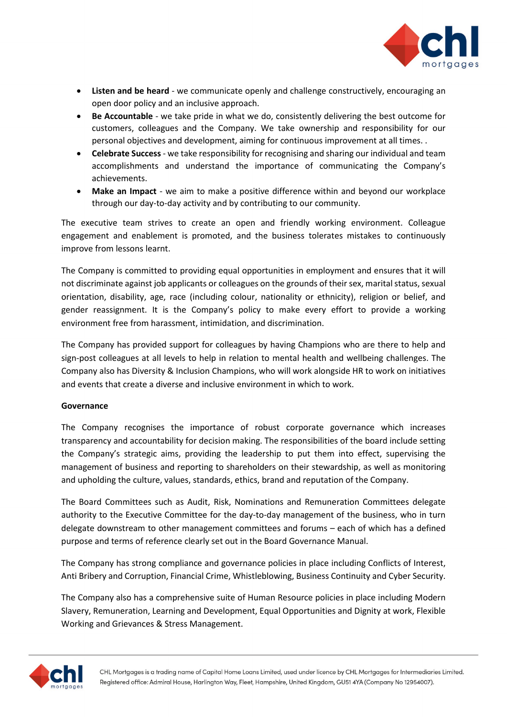

- **Listen and be heard** we communicate openly and challenge constructively, encouraging an open door policy and an inclusive approach.
- **Be Accountable** we take pride in what we do, consistently delivering the best outcome for customers, colleagues and the Company. We take ownership and responsibility for our personal objectives and development, aiming for continuous improvement at all times. .
- **Celebrate Success** we take responsibility for recognising and sharing our individual and team accomplishments and understand the importance of communicating the Company's achievements.
- **Make an Impact** we aim to make a positive difference within and beyond our workplace through our day-to-day activity and by contributing to our community.

The executive team strives to create an open and friendly working environment. Colleague engagement and enablement is promoted, and the business tolerates mistakes to continuously improve from lessons learnt.

The Company is committed to providing equal opportunities in employment and ensures that it will not discriminate against job applicants or colleagues on the grounds of their sex, marital status, sexual orientation, disability, age, race (including colour, nationality or ethnicity), religion or belief, and gender reassignment. It is the Company's policy to make every effort to provide a working environment free from harassment, intimidation, and discrimination.

The Company has provided support for colleagues by having Champions who are there to help and sign-post colleagues at all levels to help in relation to mental health and wellbeing challenges. The Company also has Diversity & Inclusion Champions, who will work alongside HR to work on initiatives and events that create a diverse and inclusive environment in which to work.

## **Governance**

The Company recognises the importance of robust corporate governance which increases transparency and accountability for decision making. The responsibilities of the board include setting the Company's strategic aims, providing the leadership to put them into effect, supervising the management of business and reporting to shareholders on their stewardship, as well as monitoring and upholding the culture, values, standards, ethics, brand and reputation of the Company.

The Board Committees such as Audit, Risk, Nominations and Remuneration Committees delegate authority to the Executive Committee for the day-to-day management of the business, who in turn delegate downstream to other management committees and forums – each of which has a defined purpose and terms of reference clearly set out in the Board Governance Manual.

The Company has strong compliance and governance policies in place including Conflicts of Interest, Anti Bribery and Corruption, Financial Crime, Whistleblowing, Business Continuity and Cyber Security.

The Company also has a comprehensive suite of Human Resource policies in place including Modern Slavery, Remuneration, Learning and Development, Equal Opportunities and Dignity at work, Flexible Working and Grievances & Stress Management.